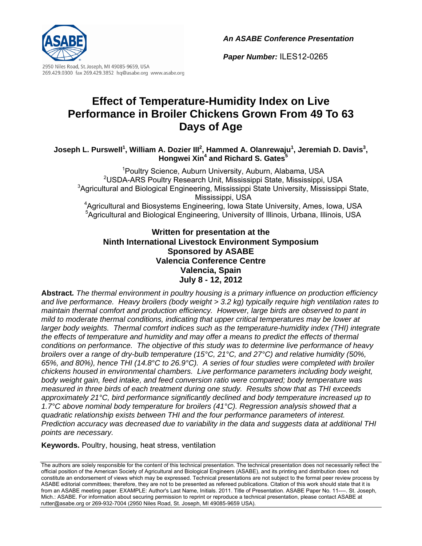*An ASABE Conference Presentation*

*Paper Number:* ILES12-0265



2950 Niles Road, St. Joseph, MI 49085-9659, USA 269.429.0300 fax 269.429.3852 hq@asabe.org www.asabe.org

# **Effect of Temperature-Humidity Index on Live Performance in Broiler Chickens Grown From 49 To 63 Days of Age**

#### Joseph L. Purswell<sup>1</sup>, William A. Dozier III<sup>2</sup>, Hammed A. Olanrewaju<sup>1</sup>, Jeremiah D. Davis<sup>3</sup>, **Hongwei Xin<sup>4</sup> and Richard S. Gates<sup>5</sup>**

<sup>1</sup>Poultry Science, Auburn University, Auburn, Alabama, USA <sup>2</sup>USDA-ARS Poultry Research Unit, Mississippi State, Mississippi, USA <sup>3</sup>Agricultural and Biological Engineering, Mississippi State University, Mississippi State, Mississippi, USA 4 Agricultural and Biosystems Engineering, Iowa State University, Ames, Iowa, USA <sup>5</sup>Agricultural and Biological Engineering, University of Illinois, Urbana, Illinois, USA

### **Written for presentation at the Ninth International Livestock Environment Symposium Sponsored by ASABE Valencia Conference Centre Valencia, Spain July 8 - 12, 2012**

**Abstract***. The thermal environment in poultry housing is a primary influence on production efficiency and live performance. Heavy broilers (body weight > 3.2 kg) typically require high ventilation rates to maintain thermal comfort and production efficiency. However, large birds are observed to pant in mild to moderate thermal conditions, indicating that upper critical temperatures may be lower at larger body weights. Thermal comfort indices such as the temperature-humidity index (THI) integrate the effects of temperature and humidity and may offer a means to predict the effects of thermal conditions on performance. The objective of this study was to determine live performance of heavy broilers over a range of dry-bulb temperature (15°C, 21°C, and 27°C) and relative humidity (50%, 65%, and 80%), hence THI (14.8°C to 26.9°C). A series of four studies were completed with broiler chickens housed in environmental chambers. Live performance parameters including body weight, body weight gain, feed intake, and feed conversion ratio were compared; body temperature was measured in three birds of each treatment during one study. Results show that as THI exceeds approximately 21°C, bird performance significantly declined and body temperature increased up to 1.7°C above nominal body temperature for broilers (41°C). Regression analysis showed that a quadratic relationship exists between THI and the four performance parameters of interest. Prediction accuracy was decreased due to variability in the data and suggests data at additional THI points are necessary.* 

**Keywords.** Poultry, housing, heat stress, ventilation

The authors are solely responsible for the content of this technical presentation. The technical presentation does not necessarily reflect the official position of the American Society of Agricultural and Biological Engineers (ASABE), and its printing and distribution does not constitute an endorsement of views which may be expressed. Technical presentations are not subject to the formal peer review process by ASABE editorial committees; therefore, they are not to be presented as refereed publications. Citation of this work should state that it is from an ASABE meeting paper. EXAMPLE: Author's Last Name, Initials. 2011. Title of Presentation. ASABE Paper No. 11----. St. Joseph, Mich.: ASABE. For information about securing permission to reprint or reproduce a technical presentation, please contact ASABE at rutter@asabe.org or 269-932-7004 (2950 Niles Road, St. Joseph, MI 49085-9659 USA).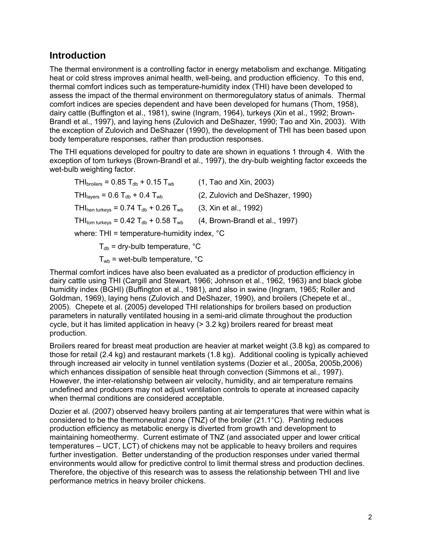## **Introduction**

The thermal environment is a controlling factor in energy metabolism and exchange. Mitigating heat or cold stress improves animal health, well-being, and production efficiency. To this end, thermal comfort indices such as temperature-humidity index (THI) have been developed to assess the impact of the thermal environment on thermoregulatory status of animals. Thermal comfort indices are species dependent and have been developed for humans (Thom, 1958), dairy cattle (Buffington et al., 1981), swine (Ingram, 1964), turkeys (Xin et al., 1992; Brown-Brandl et al., 1997), and laying hens (Zulovich and DeShazer, 1990; Tao and Xin, 2003). With the exception of Zulovich and DeShazer (1990), the development of THI has been based upon body temperature responses, rather than production responses.

The THI equations developed for poultry to date are shown in equations 1 through 4. With the exception of tom turkeys (Brown-Brandl et al., 1997), the dry-bulb weighting factor exceeds the wet-bulb weighting factor.

 $THI<sub>broilers</sub> = 0.85 T<sub>db</sub> + 0.15 T<sub>wb</sub>$  (1, Tao and Xin, 2003)  $THI<sub>laver</sub> = 0.6 T<sub>db</sub> + 0.4 T<sub>wb</sub>$  (2, Zulovich and DeShazer, 1990) THI<sub>hen turkeys</sub> =  $0.74$  T<sub>db</sub> + 0.26 T<sub>wb</sub> (3, Xin et al., 1992) THI<sub>tom turkeys</sub> =  $0.42$  T<sub>db</sub> +  $0.58$  T<sub>wb</sub> (4, Brown-Brandl et al., 1997) where: THI = temperature-humidity index, °C

 $T_{db}$  = dry-bulb temperature,  $^{\circ}C$ 

 $T_{wb}$  = wet-bulb temperature,  $°C$ 

Thermal comfort indices have also been evaluated as a predictor of production efficiency in dairy cattle using THI (Cargill and Stewart, 1966; Johnson et al., 1962, 1963) and black globe humidity index (BGHI) (Buffington et al., 1981), and also in swine (Ingram, 1965; Roller and Goldman, 1969), laying hens (Zulovich and DeShazer, 1990), and broilers (Chepete et al., 2005). Chepete et al. (2005) developed THI relationships for broilers based on production parameters in naturally ventilated housing in a semi-arid climate throughout the production cycle, but it has limited application in heavy (> 3.2 kg) broilers reared for breast meat production.

Broilers reared for breast meat production are heavier at market weight (3.8 kg) as compared to those for retail (2.4 kg) and restaurant markets (1.8 kg). Additional cooling is typically achieved through increased air velocity in tunnel ventilation systems (Dozier et al., 2005a, 2005b,2006) which enhances dissipation of sensible heat through convection (Simmons et al., 1997). However, the inter-relationship between air velocity, humidity, and air temperature remains undefined and producers may not adjust ventilation controls to operate at increased capacity when thermal conditions are considered acceptable.

Dozier et al. (2007) observed heavy broilers panting at air temperatures that were within what is considered to be the thermoneutral zone (TNZ) of the broiler (21.1°C). Panting reduces production efficiency as metabolic energy is diverted from growth and development to maintaining homeothermy. Current estimate of TNZ (and associated upper and lower critical temperatures – UCT, LCT) of chickens may not be applicable to heavy broilers and requires further investigation. Better understanding of the production responses under varied thermal environments would allow for predictive control to limit thermal stress and production declines. Therefore, the objective of this research was to assess the relationship between THI and live performance metrics in heavy broiler chickens.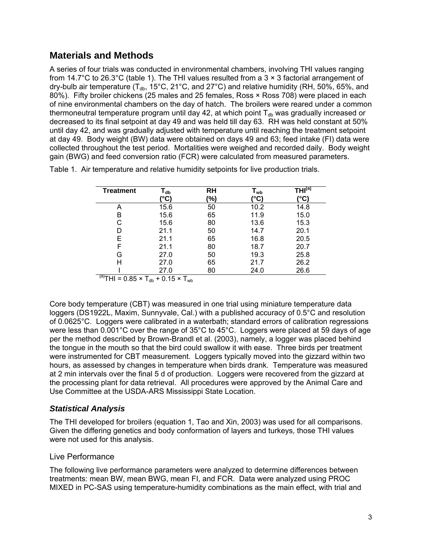## **Materials and Methods**

A series of four trials was conducted in environmental chambers, involving THI values ranging from 14.7°C to 26.3°C (table 1). The THI values resulted from a 3  $\times$  3 factorial arrangement of dry-bulb air temperature ( $T_{db}$ , 15°C, 21°C, and 27°C) and relative humidity (RH, 50%, 65%, and 80%). Fifty broiler chickens (25 males and 25 females, Ross × Ross 708) were placed in each of nine environmental chambers on the day of hatch. The broilers were reared under a common thermoneutral temperature program until day 42, at which point  $T_{db}$  was gradually increased or decreased to its final setpoint at day 49 and was held till day 63. RH was held constant at 50% until day 42, and was gradually adjusted with temperature until reaching the treatment setpoint at day 49. Body weight (BW) data were obtained on days 49 and 63; feed intake (FI) data were collected throughout the test period. Mortalities were weighed and recorded daily. Body weight gain (BWG) and feed conversion ratio (FCR) were calculated from measured parameters.

| <b>Treatment</b>                                         | l <sub>db</sub><br>®°C | RH<br>(%) | $\mathsf{T}_{\mathsf{wb}}$<br>'°C` | $\overline{\mathsf{THI}^\textsf{[a]}}$<br>'°C` |  |  |
|----------------------------------------------------------|------------------------|-----------|------------------------------------|------------------------------------------------|--|--|
|                                                          |                        |           |                                    |                                                |  |  |
| Α                                                        | 15.6                   | 50        | 10.2                               | 14.8                                           |  |  |
| B                                                        | 15.6                   | 65        | 11.9                               | 15.0                                           |  |  |
| C                                                        | 15.6                   | 80        | 13.6                               | 15.3                                           |  |  |
| D                                                        | 21.1                   | 50        | 14.7                               | 20.1                                           |  |  |
| E                                                        | 21.1                   | 65        | 16.8                               | 20.5                                           |  |  |
| F                                                        | 21.1                   | 80        | 18.7                               | 20.7                                           |  |  |
| G                                                        | 27.0                   | 50        | 19.3                               | 25.8                                           |  |  |
| Н                                                        | 27.0                   | 65        | 21.7                               | 26.2                                           |  |  |
|                                                          | 27.0                   | 80        | 24.0                               | 26.6                                           |  |  |
| $\overline{P} = 0.85 \times T_{db} + 0.15 \times T_{wb}$ |                        |           |                                    |                                                |  |  |

Table 1. Air temperature and relative humidity setpoints for live production trials.

Core body temperature (CBT) was measured in one trial using miniature temperature data loggers (DS1922L, Maxim, Sunnyvale, Cal.) with a published accuracy of 0.5°C and resolution of 0.0625°C. Loggers were calibrated in a waterbath; standard errors of calibration regressions were less than 0.001°C over the range of 35°C to 45°C. Loggers were placed at 59 days of age per the method described by Brown-Brandl et al. (2003), namely, a logger was placed behind the tongue in the mouth so that the bird could swallow it with ease. Three birds per treatment were instrumented for CBT measurement. Loggers typically moved into the gizzard within two hours, as assessed by changes in temperature when birds drank. Temperature was measured at 2 min intervals over the final 5 d of production. Loggers were recovered from the gizzard at the processing plant for data retrieval. All procedures were approved by the Animal Care and Use Committee at the USDA-ARS Mississippi State Location.

### *Statistical Analysis*

The THI developed for broilers (equation 1, Tao and Xin, 2003) was used for all comparisons. Given the differing genetics and body conformation of layers and turkeys, those THI values were not used for this analysis.

#### Live Performance

The following live performance parameters were analyzed to determine differences between treatments: mean BW, mean BWG, mean FI, and FCR. Data were analyzed using PROC MIXED in PC-SAS using temperature-humidity combinations as the main effect, with trial and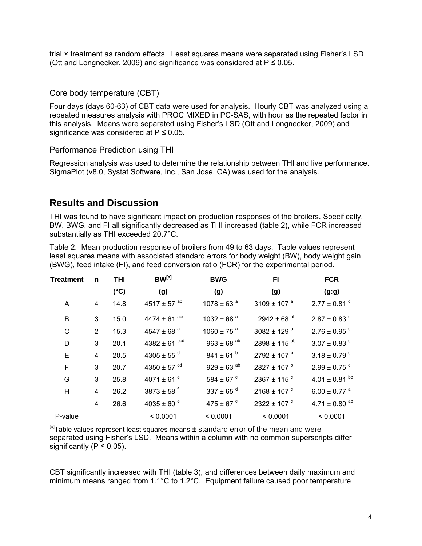trial × treatment as random effects. Least squares means were separated using Fisher's LSD (Ott and Longnecker, 2009) and significance was considered at  $P \le 0.05$ .

#### Core body temperature (CBT)

Four days (days 60-63) of CBT data were used for analysis. Hourly CBT was analyzed using a repeated measures analysis with PROC MIXED in PC-SAS, with hour as the repeated factor in this analysis. Means were separated using Fisher's LSD (Ott and Longnecker, 2009) and significance was considered at  $P \le 0.05$ .

#### Performance Prediction using THI

Regression analysis was used to determine the relationship between THI and live performance. SigmaPlot (v8.0, Systat Software, Inc., San Jose, CA) was used for the analysis.

## **Results and Discussion**

THI was found to have significant impact on production responses of the broilers. Specifically, BW, BWG, and FI all significantly decreased as THI increased (table 2), while FCR increased substantially as THI exceeded 20.7°C.

Table 2. Mean production response of broilers from 49 to 63 days. Table values represent least squares means with associated standard errors for body weight (BW), body weight gain (BWG), feed intake (FI), and feed conversion ratio (FCR) for the experimental period.

| <b>Treatment</b> | n              | <b>THI</b> | $BW^{[a]}$                   | <b>BWG</b>                 | FI                          | <b>FCR</b>                    |  |
|------------------|----------------|------------|------------------------------|----------------------------|-----------------------------|-------------------------------|--|
|                  |                | (°C)       | (g)                          | (g)                        | (g)                         | (g:g)                         |  |
| A                | 4              | 14.8       | 4517 ± 57 $^{ab}$            | 1078 ± 63 $a$              | 3109 ± 107 $a$              | $2.77 \pm 0.81$ °             |  |
| B                | 3              | 15.0       | $4474 \pm 61$ <sup>abc</sup> | 1032 ± 68 $a$              | $2942 \pm 68$ <sup>ab</sup> | $2.87 \pm 0.83$ °             |  |
| C                | $\overline{2}$ | 15.3       | 4547 ± 68 $a$                | 1060 ± 75 $^{a}$           | 3082 ± 129 $a$              | $2.76 \pm 0.95$ °             |  |
| D                | 3              | 20.1       | 4382 ± 61 $^{bcd}$           | $963 \pm 68$ <sup>ab</sup> | 2898 ± 115 $^{ab}$          | $3.07 \pm 0.83$ $^{\circ}$    |  |
| E                | $\overline{4}$ | 20.5       | 4305 ± 55 $^{\rm d}$         | $841 \pm 61^{b}$           | $2792 \pm 107$ <sup>b</sup> | $3.18 \pm 0.79$ $^{\circ}$    |  |
| F                | 3              | 20.7       | 4350 ± 57 $^{cd}$            | $929 \pm 63$ <sup>ab</sup> | $2827 \pm 107$ <sup>b</sup> | $2.99 \pm 0.75$ <sup>c</sup>  |  |
| G                | 3              | 25.8       | 4071 ± 61 $e$                | 584 ± 67 $\degree$         | 2367 ± 115 $\degree$        | $4.01 \pm 0.81$ bc            |  |
| H                | 4              | 26.2       | $3873 \pm 58$ <sup>f</sup>   | 337 ± 65 $^d$              | $2168 \pm 107$ °            | $6.00 \pm 0.77$ <sup>a</sup>  |  |
|                  | 4              | 26.6       | 4035 ± 60 $e$                | 475 ± 67 $\degree$         | 2322 ± 107 $\degree$        | $4.71 \pm 0.80$ <sup>ab</sup> |  |
| P-value          |                |            | < 0.0001                     | < 0.0001                   | < 0.0001                    | < 0.0001                      |  |

 $[a]$ Table values represent least squares means  $\pm$  standard error of the mean and were separated using Fisher's LSD. Means within a column with no common superscripts differ significantly ( $P \le 0.05$ ).

CBT significantly increased with THI (table 3), and differences between daily maximum and minimum means ranged from 1.1°C to 1.2°C. Equipment failure caused poor temperature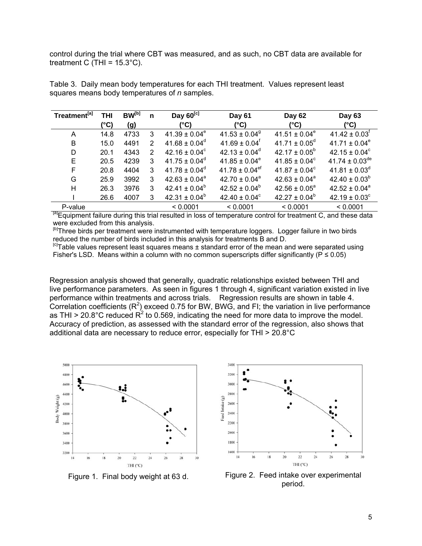control during the trial where CBT was measured, and as such, no CBT data are available for treatment C (THI =  $15.3^{\circ}$ C).

| Treatment <sup>[a]</sup> | <b>THI</b> | <b>BW</b> <sup>[b]</sup> | n | Day $60^{[c]}$           | Day 61                         | Day 62                   | Day 63                         |  |
|--------------------------|------------|--------------------------|---|--------------------------|--------------------------------|--------------------------|--------------------------------|--|
|                          | (°C)       | (g)                      |   | $(^{\circ}C)$            | (°C)                           | (°C)                     | (°C)                           |  |
| A                        | 14.8       | 4733                     | 3 | $41.39 \pm 0.04^e$       | $41.53 \pm 0.04$ <sup>9</sup>  | $41.51 \pm 0.04^e$       | $41.42 \pm 0.03$ <sup>t</sup>  |  |
| B                        | 15.0       | 4491                     | 2 | $41.68 \pm 0.04^{\circ}$ | $41.69 \pm 0.04$ <sup>f</sup>  | $41.71 \pm 0.05^{\circ}$ | $41.71 \pm 0.04^e$             |  |
| D                        | 20.1       | 4343                     | 2 | 42.16 ± $0.04^c$         | $42.13 \pm 0.04^d$             | $42.17 \pm 0.05^b$       | $42.15 \pm 0.04^c$             |  |
| Е                        | 20.5       | 4239                     | 3 | $41.75 \pm 0.04^{\circ}$ | $41.85 \pm 0.04^e$             | $41.85 \pm 0.04^c$       | 41.74 $\pm$ 0.03 <sup>de</sup> |  |
| F                        | 20.8       | 4404                     | 3 | $41.78 \pm 0.04^{\circ}$ | $41.78 \pm 0.04$ <sup>ef</sup> | $41.87 \pm 0.04^{\circ}$ | 41.81 ± $0.03^d$               |  |
| G                        | 25.9       | 3992                     | 3 | $42.63 \pm 0.04^a$       | $42.70 \pm 0.04^a$             | $42.63 \pm 0.04^a$       | $42.40 \pm 0.03^b$             |  |
| н                        | 26.3       | 3976                     | 3 | $42.41 \pm 0.04^b$       | $42.52 \pm 0.04^b$             | $42.56 \pm 0.05^{\circ}$ | $42.52 \pm 0.04^a$             |  |
|                          | 26.6       | 4007                     | 3 | 42.31 ± $0.04^b$         | 42.40 ± $0.04^{\circ}$         | $42.27 \pm 0.04^b$       | $42.19 \pm 0.03^{\circ}$       |  |
| P-value                  |            |                          |   | < 0.0001                 | < 0.0001                       | < 0.0001                 | < 0.0001                       |  |

Table 3. Daily mean body temperatures for each THI treatment. Values represent least squares means body temperatures of *n* samples.

<sup>[a]</sup>Equipment failure during this trial resulted in loss of temperature control for treatment C, and these data were excluded from this analysis.

<sup>[b]</sup>Three birds per treatment were instrumented with temperature loggers. Logger failure in two birds reduced the number of birds included in this analysis for treatments B and D.

 $\mathbb{F}$ Table values represent least squares means  $\pm$  standard error of the mean and were separated using Fisher's LSD. Means within a column with no common superscripts differ significantly ( $P \le 0.05$ )

Regression analysis showed that generally, quadratic relationships existed between THI and live performance parameters. As seen in figures 1 through 4, significant variation existed in live performance within treatments and across trials. Regression results are shown in table 4. Correlation coefficients ( $R^2$ ) exceed 0.75 for BW, BWG, and FI; the variation in live performance as THI > 20.8°C reduced  $R^2$  to 0.569, indicating the need for more data to improve the model. Accuracy of prediction, as assessed with the standard error of the regression, also shows that additional data are necessary to reduce error, especially for THI > 20.8°C





Figure 1. Final body weight at 63 d. Figure 2. Feed intake over experimental period.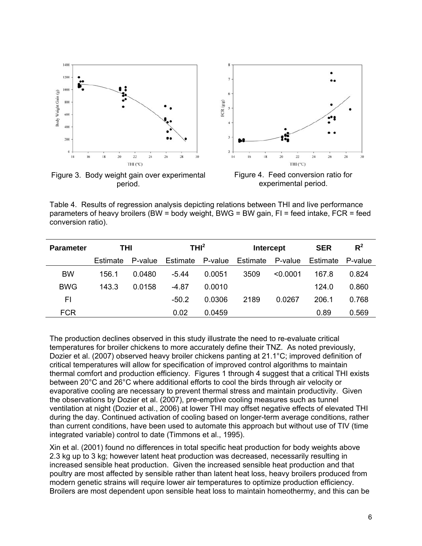

period.

experimental period.

Table 4. Results of regression analysis depicting relations between THI and live performance parameters of heavy broilers (BW = body weight, BWG = BW gain, FI = feed intake, FCR = feed conversion ratio).

| <b>Parameter</b> | THI      |         | THI <sup>2</sup> |         | <b>Intercept</b> |          | <b>SER</b> | $R^2$   |
|------------------|----------|---------|------------------|---------|------------------|----------|------------|---------|
|                  | Estimate | P-value | Estimate         | P-value | Estimate         | P-value  | Estimate   | P-value |
| <b>BW</b>        | 156.1    | 0.0480  | $-5.44$          | 0.0051  | 3509             | < 0.0001 | 167.8      | 0.824   |
| <b>BWG</b>       | 143.3    | 0.0158  | $-4.87$          | 0.0010  |                  |          | 124.0      | 0.860   |
| FI               |          |         | $-50.2$          | 0.0306  | 2189             | 0.0267   | 206.1      | 0.768   |
| <b>FCR</b>       |          |         | 0.02             | 0.0459  |                  |          | 0.89       | 0.569   |

The production declines observed in this study illustrate the need to re-evaluate critical temperatures for broiler chickens to more accurately define their TNZ. As noted previously, Dozier et al. (2007) observed heavy broiler chickens panting at 21.1°C; improved definition of critical temperatures will allow for specification of improved control algorithms to maintain thermal comfort and production efficiency. Figures 1 through 4 suggest that a critical THI exists between 20°C and 26°C where additional efforts to cool the birds through air velocity or evaporative cooling are necessary to prevent thermal stress and maintain productivity. Given the observations by Dozier et al. (2007), pre-emptive cooling measures such as tunnel ventilation at night (Dozier et al., 2006) at lower THI may offset negative effects of elevated THI during the day. Continued activation of cooling based on longer-term average conditions, rather than current conditions, have been used to automate this approach but without use of TIV (time integrated variable) control to date (Timmons et al., 1995).

Xin et al. (2001) found no differences in total specific heat production for body weights above 2.3 kg up to 3 kg; however latent heat production was decreased, necessarily resulting in increased sensible heat production. Given the increased sensible heat production and that poultry are most affected by sensible rather than latent heat loss, heavy broilers produced from modern genetic strains will require lower air temperatures to optimize production efficiency. Broilers are most dependent upon sensible heat loss to maintain homeothermy, and this can be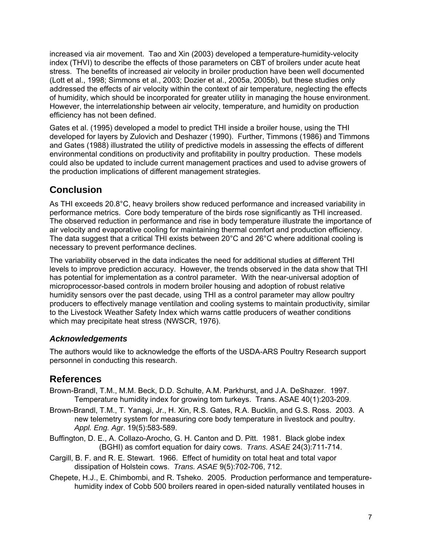increased via air movement. Tao and Xin (2003) developed a temperature-humidity-velocity index (THVI) to describe the effects of those parameters on CBT of broilers under acute heat stress. The benefits of increased air velocity in broiler production have been well documented (Lott et al., 1998; Simmons et al., 2003; Dozier et al., 2005a, 2005b), but these studies only addressed the effects of air velocity within the context of air temperature, neglecting the effects of humidity, which should be incorporated for greater utility in managing the house environment. However, the interrelationship between air velocity, temperature, and humidity on production efficiency has not been defined.

Gates et al. (1995) developed a model to predict THI inside a broiler house, using the THI developed for layers by Zulovich and Deshazer (1990). Further, Timmons (1986) and Timmons and Gates (1988) illustrated the utility of predictive models in assessing the effects of different environmental conditions on productivity and profitability in poultry production. These models could also be updated to include current management practices and used to advise growers of the production implications of different management strategies.

# **Conclusion**

As THI exceeds 20.8°C, heavy broilers show reduced performance and increased variability in performance metrics. Core body temperature of the birds rose significantly as THI increased. The observed reduction in performance and rise in body temperature illustrate the importance of air velocity and evaporative cooling for maintaining thermal comfort and production efficiency. The data suggest that a critical THI exists between 20°C and 26°C where additional cooling is necessary to prevent performance declines.

The variability observed in the data indicates the need for additional studies at different THI levels to improve prediction accuracy. However, the trends observed in the data show that THI has potential for implementation as a control parameter. With the near-universal adoption of microprocessor-based controls in modern broiler housing and adoption of robust relative humidity sensors over the past decade, using THI as a control parameter may allow poultry producers to effectively manage ventilation and cooling systems to maintain productivity, similar to the Livestock Weather Safety Index which warns cattle producers of weather conditions which may precipitate heat stress (NWSCR, 1976).

### *Acknowledgements*

The authors would like to acknowledge the efforts of the USDA-ARS Poultry Research support personnel in conducting this research.

# **References**

- Brown-Brandl, T.M., M.M. Beck, D.D. Schulte, A.M. Parkhurst, and J.A. DeShazer. 1997. Temperature humidity index for growing tom turkeys. Trans. ASAE 40(1):203-209.
- Brown-Brandl, T.M., T. Yanagi, Jr., H. Xin, R.S. Gates, R.A. Bucklin, and G.S. Ross. 2003. A new telemetry system for measuring core body temperature in livestock and poultry. *Appl. Eng. Agr*. 19(5):583-589.
- Buffington, D. E., A. Collazo-Arocho, G. H. Canton and D. Pitt. 1981. Black globe index (BGHI) as comfort equation for dairy cows. *Trans. ASAE* 24(3):711-714.
- Cargill, B. F. and R. E. Stewart. 1966. Effect of humidity on total heat and total vapor dissipation of Holstein cows. *Trans. ASAE* 9(5):702-706, 712.
- Chepete, H.J., E. Chimbombi, and R. Tsheko. 2005. Production performance and temperaturehumidity index of Cobb 500 broilers reared in open-sided naturally ventilated houses in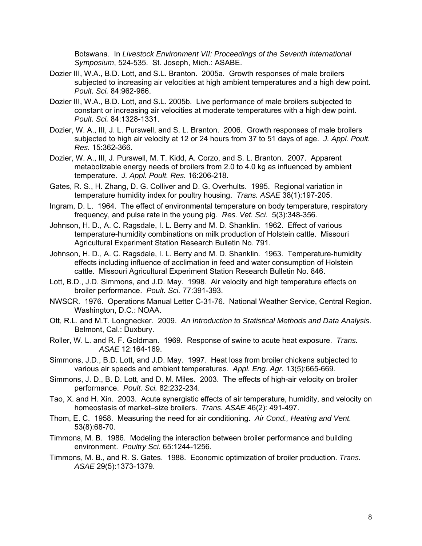Botswana. In *Livestock Environment VII: Proceedings of the Seventh International Symposium*, 524-535. St. Joseph, Mich.: ASABE.

- Dozier III, W.A., B.D. Lott, and S.L. Branton. 2005a. Growth responses of male broilers subjected to increasing air velocities at high ambient temperatures and a high dew point. *Poult. Sci.* 84:962-966.
- Dozier III, W.A., B.D. Lott, and S.L. 2005b. Live performance of male broilers subjected to constant or increasing air velocities at moderate temperatures with a high dew point. *Poult. Sci.* 84:1328-1331.
- Dozier, W. A., III, J. L. Purswell, and S. L. Branton. 2006. Growth responses of male broilers subjected to high air velocity at 12 or 24 hours from 37 to 51 days of age. *J. Appl. Poult. Res.* 15:362-366.
- Dozier, W. A., III, J. Purswell, M. T. Kidd, A. Corzo, and S. L. Branton. 2007. Apparent metabolizable energy needs of broilers from 2.0 to 4.0 kg as influenced by ambient temperature. *J. Appl. Poult. Res.* 16:206-218.
- Gates, R. S., H. Zhang, D. G. Colliver and D. G. Overhults. 1995. Regional variation in temperature humidity index for poultry housing. *Trans. ASAE* 38(1):197-205.
- Ingram, D. L. 1964. The effect of environmental temperature on body temperature, respiratory frequency, and pulse rate in the young pig. *Res. Vet. Sci.* 5(3):348-356.
- Johnson, H. D., A. C. Ragsdale, I. L. Berry and M. D. Shanklin. 1962. Effect of various temperature-humidity combinations on milk production of Holstein cattle. Missouri Agricultural Experiment Station Research Bulletin No. 791.
- Johnson, H. D., A. C. Ragsdale, I. L. Berry and M. D. Shanklin. 1963. Temperature-humidity effects including influence of acclimation in feed and water consumption of Holstein cattle. Missouri Agricultural Experiment Station Research Bulletin No. 846.
- Lott, B.D., J.D. Simmons, and J.D. May. 1998. Air velocity and high temperature effects on broiler performance. *Poult. Sci.* 77:391-393.
- NWSCR. 1976. Operations Manual Letter C-31-76. National Weather Service, Central Region. Washington, D.C.: NOAA.
- Ott, R.L. and M.T. Longnecker. 2009. *An Introduction to Statistical Methods and Data Analysis*. Belmont, Cal.: Duxbury.
- Roller, W. L. and R. F. Goldman. 1969. Response of swine to acute heat exposure. *Trans. ASAE* 12:164-169.
- Simmons, J.D., B.D. Lott, and J.D. May. 1997. Heat loss from broiler chickens subjected to various air speeds and ambient temperatures. *Appl. Eng. Agr.* 13(5):665-669.
- Simmons, J. D., B. D. Lott, and D. M. Miles. 2003. The effects of high-air velocity on broiler performance. *Poult. Sci.* 82:232-234.
- Tao, X. and H. Xin. 2003. Acute synergistic effects of air temperature, humidity, and velocity on homeostasis of market–size broilers. *Trans. ASAE* 46(2): 491-497.
- Thom, E. C. 1958. Measuring the need for air conditioning. *Air Cond., Heating and Vent.* 53(8):68-70.
- Timmons, M. B. 1986. Modeling the interaction between broiler performance and building environment. *Poultry Sci.* 65:1244-1256.
- Timmons, M. B., and R. S. Gates. 1988. Economic optimization of broiler production. *Trans. ASAE* 29(5):1373-1379.